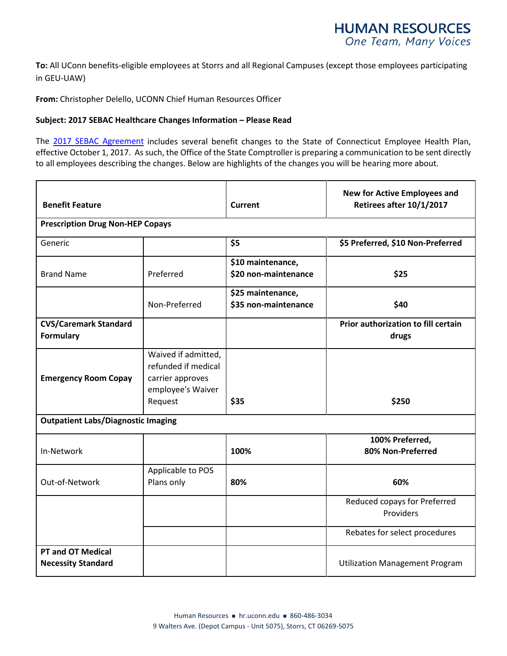**To:** All UConn benefits-eligible employees at Storrs and all Regional Campuses (except those employees participating in GEU-UAW)

**From:** Christopher Delello, UCONN Chief Human Resources Officer

## **Subject: 2017 SEBAC Healthcare Changes Information – Please Read**

The [2017 SEBAC Agreement](https://health.uconn.edu/human-resources/wp-content/uploads/sites/24/2017/08/SEBAC_2017_Agreement.pdf) includes several benefit changes to the State of Connecticut Employee Health Plan, effective October 1, 2017. As such, the Office of the State Comptroller is preparing a communication to be sent directly to all employees describing the changes. Below are highlights of the changes you will be hearing more about.

| <b>Benefit Feature</b>                                |                                                                                                | <b>Current</b>                            | <b>New for Active Employees and</b><br>Retirees after 10/1/2017 |
|-------------------------------------------------------|------------------------------------------------------------------------------------------------|-------------------------------------------|-----------------------------------------------------------------|
| <b>Prescription Drug Non-HEP Copays</b>               |                                                                                                |                                           |                                                                 |
| Generic                                               |                                                                                                | \$5                                       | \$5 Preferred, \$10 Non-Preferred                               |
| <b>Brand Name</b>                                     | Preferred                                                                                      | \$10 maintenance,<br>\$20 non-maintenance | \$25                                                            |
|                                                       | Non-Preferred                                                                                  | \$25 maintenance,<br>\$35 non-maintenance | \$40                                                            |
| <b>CVS/Caremark Standard</b><br><b>Formulary</b>      |                                                                                                |                                           | Prior authorization to fill certain<br>drugs                    |
| <b>Emergency Room Copay</b>                           | Waived if admitted,<br>refunded if medical<br>carrier approves<br>employee's Waiver<br>Request | \$35                                      | \$250                                                           |
| <b>Outpatient Labs/Diagnostic Imaging</b>             |                                                                                                |                                           |                                                                 |
| In-Network                                            |                                                                                                | 100%                                      | 100% Preferred,<br>80% Non-Preferred                            |
| Out-of-Network                                        | Applicable to POS<br>Plans only                                                                | 80%                                       | 60%                                                             |
|                                                       |                                                                                                |                                           | Reduced copays for Preferred<br>Providers                       |
|                                                       |                                                                                                |                                           | Rebates for select procedures                                   |
| <b>PT and OT Medical</b><br><b>Necessity Standard</b> |                                                                                                |                                           | <b>Utilization Management Program</b>                           |